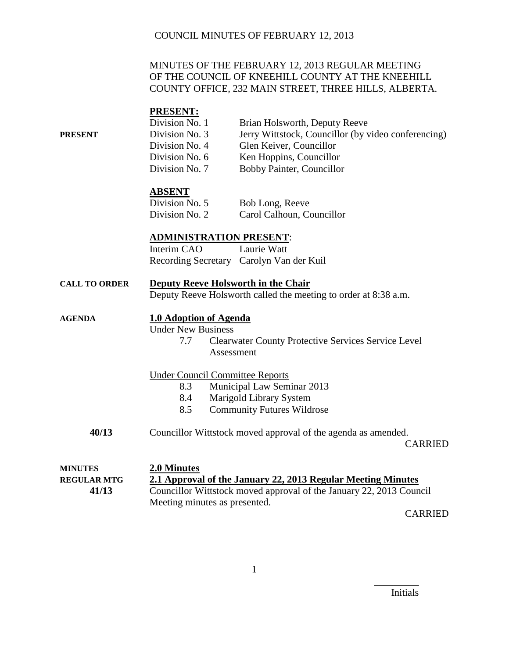### MINUTES OF THE FEBRUARY 12, 2013 REGULAR MEETING OF THE COUNCIL OF KNEEHILL COUNTY AT THE KNEEHILL COUNTY OFFICE, 232 MAIN STREET, THREE HILLS, ALBERTA.

|                | <b>PRESENT:</b> |                                                     |
|----------------|-----------------|-----------------------------------------------------|
|                | Division No. 1  | Brian Holsworth, Deputy Reeve                       |
| <b>PRESENT</b> | Division No. 3  | Jerry Wittstock, Councillor (by video conferencing) |
|                | Division No. 4  | Glen Keiver, Councillor                             |
|                | Division No. 6  | Ken Hoppins, Councillor                             |
|                | Division No. 7  | Bobby Painter, Councillor                           |
|                |                 |                                                     |
|                |                 |                                                     |

### **ABSENT**

| Division No. 5 | Bob Long, Reeve           |
|----------------|---------------------------|
| Division No. 2 | Carol Calhoun, Councillor |

#### **ADMINISTRATION PRESENT**:

Interim CAO Laurie Watt Recording Secretary Carolyn Van der Kuil

|  | <b>CALL TO ORDER</b> | Deputy Reeve Holsworth in the Chair |  |  |
|--|----------------------|-------------------------------------|--|--|
|--|----------------------|-------------------------------------|--|--|

Deputy Reeve Holsworth called the meeting to order at 8:38 a.m.

| <b>AGENDA</b>      | 1.0 Adoption of Agenda                                                          |  |  |
|--------------------|---------------------------------------------------------------------------------|--|--|
|                    | <b>Under New Business</b>                                                       |  |  |
|                    | 7.7<br><b>Clearwater County Protective Services Service Level</b>               |  |  |
|                    | Assessment                                                                      |  |  |
|                    | <b>Under Council Committee Reports</b>                                          |  |  |
|                    | Municipal Law Seminar 2013<br>8.3                                               |  |  |
|                    | 8.4<br>Marigold Library System                                                  |  |  |
|                    | 8.5<br><b>Community Futures Wildrose</b>                                        |  |  |
| 40/13              | Councillor Wittstock moved approval of the agenda as amended.<br><b>CARRIED</b> |  |  |
| <b>MINUTES</b>     | <b>2.0 Minutes</b>                                                              |  |  |
| <b>REGULAR MTG</b> | 2.1 Approval of the January 22, 2013 Regular Meeting Minutes                    |  |  |
| 41/13              | Councillor Wittstock moved approval of the January 22, 2013 Council             |  |  |
|                    | Meeting minutes as presented.                                                   |  |  |

CARRIED

Initials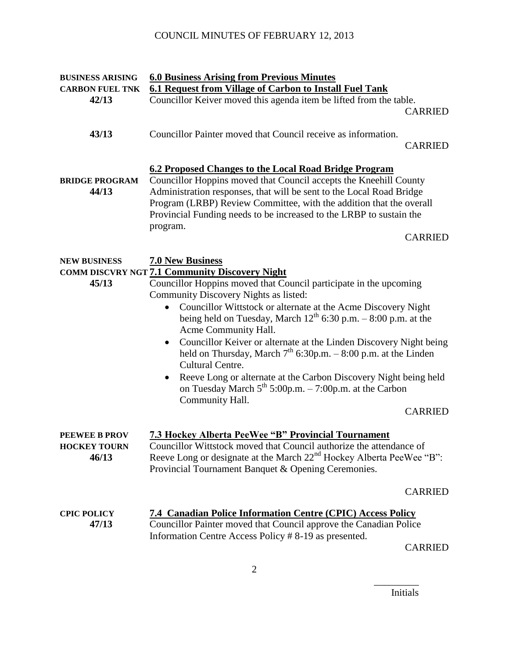| <b>BUSINESS ARISING</b><br><b>CARBON FUEL TNK</b>    | <b>6.0 Business Arising from Previous Minutes</b><br>6.1 Request from Village of Carbon to Install Fuel Tank                                                                                                                                                                                                                                                                                                                                                                                                                                                                                                                                                                                                                      |
|------------------------------------------------------|-----------------------------------------------------------------------------------------------------------------------------------------------------------------------------------------------------------------------------------------------------------------------------------------------------------------------------------------------------------------------------------------------------------------------------------------------------------------------------------------------------------------------------------------------------------------------------------------------------------------------------------------------------------------------------------------------------------------------------------|
| 42/13                                                | Councillor Keiver moved this agenda item be lifted from the table.<br><b>CARRIED</b>                                                                                                                                                                                                                                                                                                                                                                                                                                                                                                                                                                                                                                              |
| 43/13                                                | Councillor Painter moved that Council receive as information.<br><b>CARRIED</b>                                                                                                                                                                                                                                                                                                                                                                                                                                                                                                                                                                                                                                                   |
| <b>BRIDGE PROGRAM</b><br>44/13                       | 6.2 Proposed Changes to the Local Road Bridge Program<br>Councillor Hoppins moved that Council accepts the Kneehill County<br>Administration responses, that will be sent to the Local Road Bridge<br>Program (LRBP) Review Committee, with the addition that the overall<br>Provincial Funding needs to be increased to the LRBP to sustain the<br>program.<br><b>CARRIED</b>                                                                                                                                                                                                                                                                                                                                                    |
| <b>NEW BUSINESS</b><br>45/13                         | <b>7.0 New Business</b><br><b>COMM DISCVRY NGT 7.1 Community Discovery Night</b><br>Councillor Hoppins moved that Council participate in the upcoming<br>Community Discovery Nights as listed:<br>Councillor Wittstock or alternate at the Acme Discovery Night<br>being held on Tuesday, March $12^{th}$ 6:30 p.m. $-8:00$ p.m. at the<br>Acme Community Hall.<br>Councillor Keiver or alternate at the Linden Discovery Night being<br>$\bullet$<br>held on Thursday, March $7th$ 6:30p.m. - 8:00 p.m. at the Linden<br>Cultural Centre.<br>Reeve Long or alternate at the Carbon Discovery Night being held<br>$\bullet$<br>on Tuesday March $5^{th}$ 5:00p.m. $-7:00$ p.m. at the Carbon<br>Community Hall.<br><b>CARRIED</b> |
| <b>PEEWEE B PROV</b><br><b>HOCKEY TOURN</b><br>46/13 | <b>7.3 Hockey Alberta PeeWee "B" Provincial Tournament</b><br>Councillor Wittstock moved that Council authorize the attendance of<br>Reeve Long or designate at the March 22 <sup>nd</sup> Hockey Alberta PeeWee "B":<br>Provincial Tournament Banquet & Opening Ceremonies.                                                                                                                                                                                                                                                                                                                                                                                                                                                      |
|                                                      | <b>CARRIED</b>                                                                                                                                                                                                                                                                                                                                                                                                                                                                                                                                                                                                                                                                                                                    |
| <b>CPIC POLICY</b><br>47/13                          | 7.4 Canadian Police Information Centre (CPIC) Access Policy<br>Councillor Painter moved that Council approve the Canadian Police<br>Information Centre Access Policy #8-19 as presented.<br>$\cap$ a d d it in                                                                                                                                                                                                                                                                                                                                                                                                                                                                                                                    |

CARRIED

2

Initials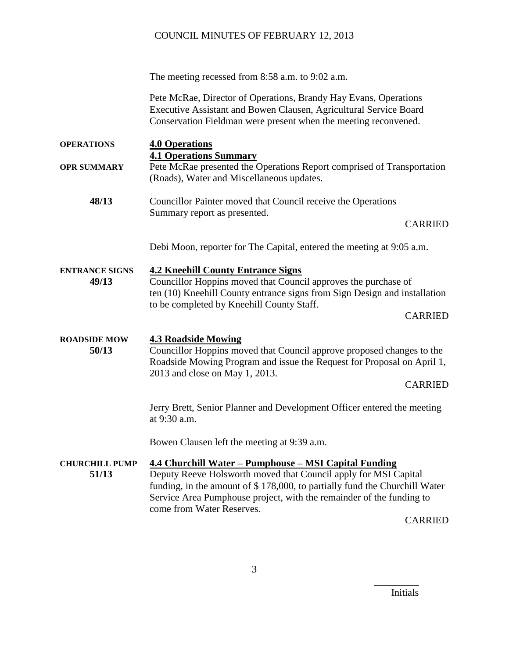The meeting recessed from 8:58 a.m. to 9:02 a.m.

Pete McRae, Director of Operations, Brandy Hay Evans, Operations Executive Assistant and Bowen Clausen, Agricultural Service Board Conservation Fieldman were present when the meeting reconvened.

**OPERATIONS 4.0 Operations 4.1 Operations Summary OPR SUMMARY** Pete McRae presented the Operations Report comprised of Transportation (Roads), Water and Miscellaneous updates.

**48/13** Councillor Painter moved that Council receive the Operations Summary report as presented.

CARRIED

Debi Moon, reporter for The Capital, entered the meeting at 9:05 a.m.

**ENTRANCE SIGNS 4.2 Kneehill County Entrance Signs 49/13** Councillor Hoppins moved that Council approves the purchase of ten (10) Kneehill County entrance signs from Sign Design and installation to be completed by Kneehill County Staff.

CARRIED

**ROADSIDE MOW 4.3 Roadside Mowing**

**50/13** Councillor Hoppins moved that Council approve proposed changes to the Roadside Mowing Program and issue the Request for Proposal on April 1, 2013 and close on May 1, 2013.

CARRIED

Jerry Brett, Senior Planner and Development Officer entered the meeting at 9:30 a.m.

Bowen Clausen left the meeting at 9:39 a.m.

#### **CHURCHILL PUMP 4.4 Churchill Water – Pumphouse – MSI Capital Funding**

**51/13** Deputy Reeve Holsworth moved that Council apply for MSI Capital funding, in the amount of \$ 178,000, to partially fund the Churchill Water Service Area Pumphouse project, with the remainder of the funding to come from Water Reserves.

CARRIED

Initials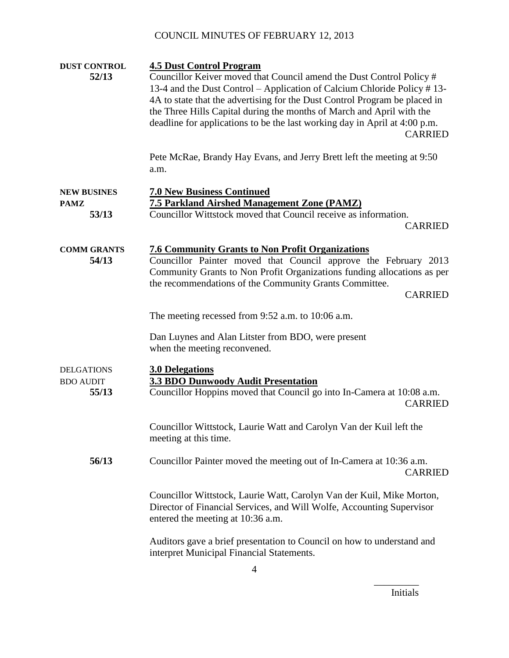| <b>DUST CONTROL</b><br>52/13                   | <b>4.5 Dust Control Program</b><br>Councillor Keiver moved that Council amend the Dust Control Policy #<br>13-4 and the Dust Control – Application of Calcium Chloride Policy #13-<br>4A to state that the advertising for the Dust Control Program be placed in<br>the Three Hills Capital during the months of March and April with the<br>deadline for applications to be the last working day in April at 4:00 p.m.<br><b>CARRIED</b> |
|------------------------------------------------|-------------------------------------------------------------------------------------------------------------------------------------------------------------------------------------------------------------------------------------------------------------------------------------------------------------------------------------------------------------------------------------------------------------------------------------------|
|                                                | Pete McRae, Brandy Hay Evans, and Jerry Brett left the meeting at 9:50<br>a.m.                                                                                                                                                                                                                                                                                                                                                            |
| <b>NEW BUSINES</b><br><b>PAMZ</b><br>53/13     | <b>7.0 New Business Continued</b><br><b>7.5 Parkland Airshed Management Zone (PAMZ)</b><br>Councillor Wittstock moved that Council receive as information.<br><b>CARRIED</b>                                                                                                                                                                                                                                                              |
| <b>COMM GRANTS</b><br>54/13                    | <b>7.6 Community Grants to Non Profit Organizations</b><br>Councillor Painter moved that Council approve the February 2013<br>Community Grants to Non Profit Organizations funding allocations as per<br>the recommendations of the Community Grants Committee.<br><b>CARRIED</b>                                                                                                                                                         |
|                                                | The meeting recessed from 9:52 a.m. to 10:06 a.m.                                                                                                                                                                                                                                                                                                                                                                                         |
|                                                | Dan Luynes and Alan Litster from BDO, were present<br>when the meeting reconvened.                                                                                                                                                                                                                                                                                                                                                        |
| <b>DELGATIONS</b><br><b>BDO AUDIT</b><br>55/13 | <b>3.0 Delegations</b><br><b>3.3 BDO Dunwoody Audit Presentation</b><br>Councillor Hoppins moved that Council go into In-Camera at 10:08 a.m.<br><b>CARRIED</b>                                                                                                                                                                                                                                                                           |
|                                                | Councillor Wittstock, Laurie Watt and Carolyn Van der Kuil left the<br>meeting at this time.                                                                                                                                                                                                                                                                                                                                              |
| 56/13                                          | Councillor Painter moved the meeting out of In-Camera at 10:36 a.m.<br><b>CARRIED</b>                                                                                                                                                                                                                                                                                                                                                     |
|                                                | Councillor Wittstock, Laurie Watt, Carolyn Van der Kuil, Mike Morton,<br>Director of Financial Services, and Will Wolfe, Accounting Supervisor<br>entered the meeting at 10:36 a.m.                                                                                                                                                                                                                                                       |
|                                                | Auditors gave a brief presentation to Council on how to understand and<br>interpret Municipal Financial Statements.                                                                                                                                                                                                                                                                                                                       |

Initials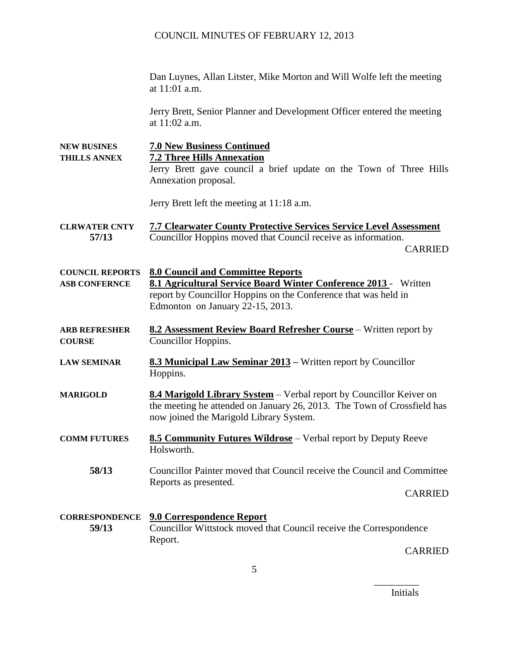Dan Luynes, Allan Litster, Mike Morton and Will Wolfe left the meeting at 11:01 a.m.

Jerry Brett, Senior Planner and Development Officer entered the meeting at 11:02 a.m.

5 **NEW BUSINES 7.0 New Business Continued THILLS ANNEX 7.2 Three Hills Annexation** Jerry Brett gave council a brief update on the Town of Three Hills Annexation proposal. Jerry Brett left the meeting at 11:18 a.m. **CLRWATER CNTY 7.7 Clearwater County Protective Services Service Level Assessment 57/13** Councillor Hoppins moved that Council receive as information. CARRIED **COUNCIL REPORTS 8.0 Council and Committee Reports ASB CONFERNCE 8.1 Agricultural Service Board Winter Conference 2013** - Written report by Councillor Hoppins on the Conference that was held in Edmonton on January 22-15, 2013. **ARB REFRESHER 8.2 Assessment Review Board Refresher Course** – Written report by **COURSE** Councillor Hoppins. **LAW SEMINAR 8.3 Municipal Law Seminar 2013 –** Written report by Councillor Hoppins. **MARIGOLD 8.4 Marigold Library System** – Verbal report by Councillor Keiver on the meeting he attended on January 26, 2013. The Town of Crossfield has now joined the Marigold Library System. **COMM FUTURES 8.5 Community Futures Wildrose** – Verbal report by Deputy Reeve Holsworth. **58/13** Councillor Painter moved that Council receive the Council and Committee Reports as presented. CARRIED **CORRESPONDENCE 9.0 Correspondence Report 59/13** Councillor Wittstock moved that Council receive the Correspondence Report. CARRIED

Initials